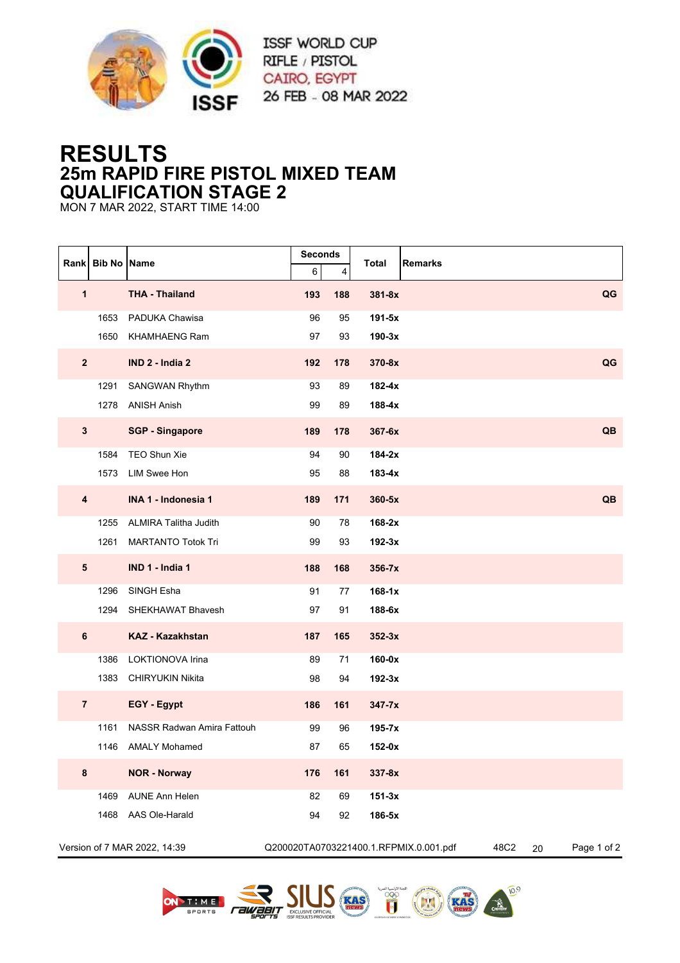

## **RESULTS 25m RAPID FIRE PISTOL MIXED TEAM QUALIFICATION STAGE 2**

MON 7 MAR 2022, START TIME 14:00

| Rank                         | <b>Bib No Name</b> |                              | <b>Seconds</b> |          | <b>Remarks</b><br>Total                |      |    |             |
|------------------------------|--------------------|------------------------------|----------------|----------|----------------------------------------|------|----|-------------|
| 1                            |                    | <b>THA - Thailand</b>        | 6<br>193       | 4<br>188 | $381 - 8x$                             |      |    | QG          |
|                              |                    |                              |                |          |                                        |      |    |             |
|                              | 1653               | PADUKA Chawisa               | 96             | 95       | $191-5x$                               |      |    |             |
|                              | 1650               | <b>KHAMHAENG Ram</b>         | 97             | 93       | $190-3x$                               |      |    |             |
| $\mathbf{2}$                 |                    | IND 2 - India 2              | 192            | 178      | 370-8x                                 |      |    | QG          |
|                              | 1291               | <b>SANGWAN Rhythm</b>        | 93             | 89       | $182 - 4x$                             |      |    |             |
|                              |                    | 1278 ANISH Anish             | 99             | 89       | $188-4x$                               |      |    |             |
| $\mathbf{3}$                 |                    | <b>SGP - Singapore</b>       | 189            | 178      | 367-6x                                 |      |    | QB          |
|                              | 1584               | TEO Shun Xie                 | 94             | 90       | $184-2x$                               |      |    |             |
|                              | 1573               | LIM Swee Hon                 | 95             | 88       | 183-4x                                 |      |    |             |
| 4                            |                    | INA 1 - Indonesia 1          | 189            | 171      | 360-5x                                 |      |    | QB          |
|                              | 1255               | <b>ALMIRA Talitha Judith</b> | 90             | 78       | $168-2x$                               |      |    |             |
|                              | 1261               | <b>MARTANTO Totok Tri</b>    | 99             | 93       | $192-3x$                               |      |    |             |
| ${\bf 5}$                    |                    | IND 1 - India 1              | 188            | 168      | $356 - 7x$                             |      |    |             |
|                              | 1296               | SINGH Esha                   | 91             | 77       | $168-1x$                               |      |    |             |
|                              | 1294               | SHEKHAWAT Bhavesh            | 97             | 91       | 188-6x                                 |      |    |             |
| $\bf 6$                      |                    | <b>KAZ - Kazakhstan</b>      | 187            | 165      | $352-3x$                               |      |    |             |
|                              | 1386               | LOKTIONOVA Irina             | 89             | 71       | 160-0x                                 |      |    |             |
|                              | 1383               | <b>CHIRYUKIN Nikita</b>      | 98             | 94       | $192-3x$                               |      |    |             |
| $\overline{7}$               |                    | EGY - Egypt                  | 186            | 161      | $347 - 7x$                             |      |    |             |
|                              | 1161               | NASSR Radwan Amira Fattouh   | 99             | 96       | $195 - 7x$                             |      |    |             |
|                              |                    | 1146 AMALY Mohamed           | 87             | 65       | $152-0x$                               |      |    |             |
| 8                            |                    | <b>NOR - Norway</b>          | 176            | 161      | 337-8x                                 |      |    |             |
|                              | 1469               | <b>AUNE Ann Helen</b>        | 82             | 69       | $151-3x$                               |      |    |             |
|                              | 1468               | AAS Ole-Harald               | 94             | 92       | 186-5x                                 |      |    |             |
| Version of 7 MAR 2022, 14:39 |                    |                              |                |          | Q200020TA0703221400.1.RFPMIX.0.001.pdf | 48C2 | 20 | Page 1 of 2 |